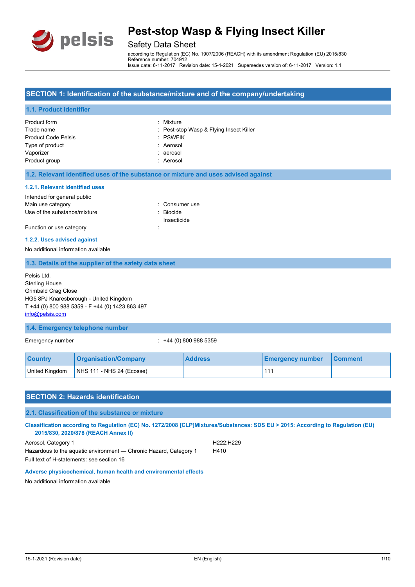

### Safety Data Sheet

according to Regulation (EC) No. 1907/2006 (REACH) with its amendment Regulation (EU) 2015/830 Reference number: 704912 Issue date: 6-11-2017 Revision date: 15-1-2021 Supersedes version of: 6-11-2017 Version: 1.1

#### **SECTION 1: Identification of the substance/mixture and of the company/undertaking**

## **1.1. Product identifier** Product form **: Mixture** Trade name **in the state of the Contract Contract Contract Contract Contract Contract Contract Contract Contract Contract Contract Contract Contract Contract Contract Contract Contract Contract Contract Contract Contract C** Product Code Pelsis **in the Collect Code Pelsis Container Contains Containing Contains Containing Contains Contains Contains Contains Contains Contains Contains Contains Contains Contains Contains Contains Contains Contain** Type of product in the set of the set of the set of the set of the set of the set of the set of the set of the set of the set of the set of the set of the set of the set of the set of the set of the set of the set of the s Vaporizer : aerosol Product group in the contract of the contract of the contract of the contract of the contract of the contract of the contract of the contract of the contract of the contract of the contract of the contract of the contract **1.2. Relevant identified uses of the substance or mixture and uses advised against 1.2.1. Relevant identified uses** Intended for general public Main use category **Example 20** and 20 and 20 and 20 and 20 and 20 and 20 and 20 and 20 and 20 and 20 and 20 and 20 and 20 and 20 and 20 and 20 and 20 and 20 and 20 and 20 and 20 and 20 and 20 and 20 and 20 and 20 and 20 an Use of the substance/mixture in the substance in the set of the substance in the set of the substance in the s Insecticide Function or use category in the state of the state of the state of the state of the state of the state of the state of the state of the state of the state of the state of the state of the state of the state of the state of **1.2.2. Uses advised against** No additional information available **1.3. Details of the supplier of the safety data sheet 1.4. Emergency telephone number** Emergency number : +44 (0) 800 988 5359 Pelsis Ltd. Sterling House Grimbald Crag Close HG5 8PJ Knaresborough - United Kingdom T +44 (0) 800 988 5359 - F +44 (0) 1423 863 497 [info@pelsis.com](mailto:info@pelsis.com)

| <b>Country</b> | <b>Organisation/Company</b> | <b>Address</b> | <b>Emergency number</b> | <b>Comment</b> |
|----------------|-----------------------------|----------------|-------------------------|----------------|
| United Kingdom | NHS 111 - NHS 24 (Ecosse)   |                |                         |                |

## **SECTION 2: Hazards identification 2.1. Classification of the substance or mixture Classification according to Regulation (EC) No. 1272/2008 [CLP]Mixtures/Substances: SDS EU > 2015: According to Regulation (EU) 2015/830, 2020/878 (REACH Annex II)**

Aerosol, Category 1 **H222**;H229 Hazardous to the aquatic environment - Chronic Hazard, Category 1 H410 Full text of H-statements: see section 16

#### **Adverse physicochemical, human health and environmental effects**

No additional information available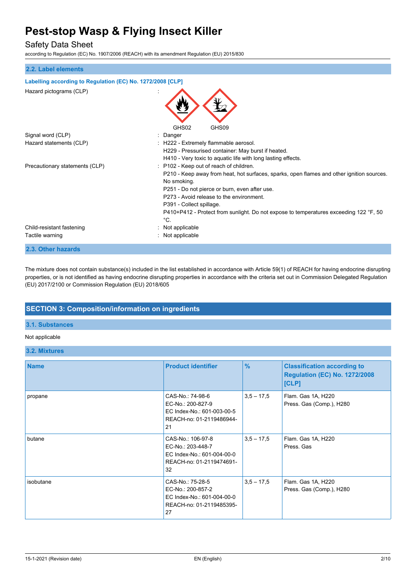## Safety Data Sheet

according to Regulation (EC) No. 1907/2006 (REACH) with its amendment Regulation (EU) 2015/830

| 2.2. Label elements                                        |                                                                                                                                                                                                                                                                                                                                                                                       |
|------------------------------------------------------------|---------------------------------------------------------------------------------------------------------------------------------------------------------------------------------------------------------------------------------------------------------------------------------------------------------------------------------------------------------------------------------------|
|                                                            |                                                                                                                                                                                                                                                                                                                                                                                       |
| Labelling according to Regulation (EC) No. 1272/2008 [CLP] |                                                                                                                                                                                                                                                                                                                                                                                       |
| Hazard pictograms (CLP)                                    |                                                                                                                                                                                                                                                                                                                                                                                       |
|                                                            | GHS02<br>GHS09                                                                                                                                                                                                                                                                                                                                                                        |
| Signal word (CLP)                                          | : Danger                                                                                                                                                                                                                                                                                                                                                                              |
| Hazard statements (CLP)                                    | : H222 - Extremely flammable aerosol.<br>H229 - Pressurised container: May burst if heated.<br>H410 - Very toxic to aquatic life with long lasting effects.                                                                                                                                                                                                                           |
| Precautionary statements (CLP)                             | : P102 - Keep out of reach of children.<br>P210 - Keep away from heat, hot surfaces, sparks, open flames and other ignition sources.<br>No smoking.<br>P251 - Do not pierce or burn, even after use.<br>P273 - Avoid release to the environment.<br>P391 - Collect spillage.<br>P410+P412 - Protect from sunlight. Do not expose to temperatures exceeding 122 °F, 50<br>$^{\circ}C.$ |
| Child-resistant fastening<br>Tactile warning               | : Not applicable<br>: Not applicable                                                                                                                                                                                                                                                                                                                                                  |
| 2.3. Other hazards                                         |                                                                                                                                                                                                                                                                                                                                                                                       |

The mixture does not contain substance(s) included in the list established in accordance with Article 59(1) of REACH for having endocrine disrupting properties, or is not identified as having endocrine disrupting properties in accordance with the criteria set out in Commission Delegated Regulation (EU) 2017/2100 or Commission Regulation (EU) 2018/605

### **SECTION 3: Composition/information on ingredients**

### **3.1. Substances**

### Not applicable

#### **3.2. Mixtures**

| <b>Name</b> | <b>Product identifier</b>                                                                              | $\frac{9}{6}$ | <b>Classification according to</b><br><b>Regulation (EC) No. 1272/2008</b><br>[CLP] |
|-------------|--------------------------------------------------------------------------------------------------------|---------------|-------------------------------------------------------------------------------------|
| propane     | CAS-No.: 74-98-6<br>EC-No.: 200-827-9<br>EC Index-No.: 601-003-00-5<br>REACH-no: 01-2119486944-<br>21  | $3,5 - 17,5$  | Flam. Gas 1A, H220<br>Press. Gas (Comp.), H280                                      |
| butane      | CAS-No.: 106-97-8<br>EC-No.: 203-448-7<br>EC Index-No.: 601-004-00-0<br>REACH-no: 01-2119474691-<br>32 | $3.5 - 17.5$  | Flam. Gas 1A, H220<br>Press, Gas                                                    |
| isobutane   | CAS-No.: 75-28-5<br>EC-No.: 200-857-2<br>EC Index-No.: 601-004-00-0<br>REACH-no: 01-2119485395-<br>27  | $3,5 - 17,5$  | Flam. Gas 1A, H220<br>Press. Gas (Comp.), H280                                      |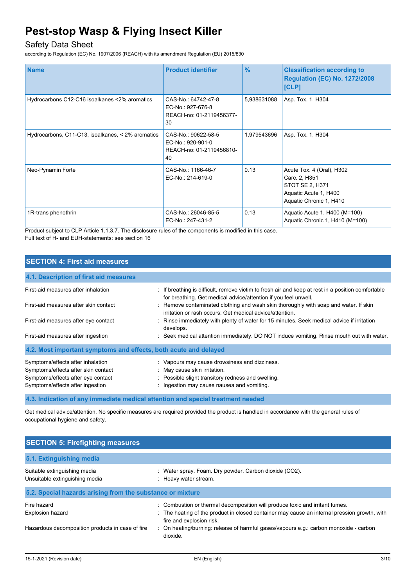## Safety Data Sheet

according to Regulation (EC) No. 1907/2006 (REACH) with its amendment Regulation (EU) 2015/830

| <b>Name</b>                                       | <b>Product identifier</b>                                                  | $\frac{9}{6}$ | <b>Classification according to</b><br><b>Regulation (EC) No. 1272/2008</b><br>[CLP]                               |
|---------------------------------------------------|----------------------------------------------------------------------------|---------------|-------------------------------------------------------------------------------------------------------------------|
| Hydrocarbons C12-C16 isoalkanes <2% aromatics     | CAS-No.: 64742-47-8<br>EC-No.: 927-676-8<br>REACH-no: 01-2119456377-<br>30 | 5,938631088   | Asp. Tox. 1, H304                                                                                                 |
| Hydrocarbons, C11-C13, isoalkanes, < 2% aromatics | CAS-No.: 90622-58-5<br>EC-No.: 920-901-0<br>REACH-no: 01-2119456810-<br>40 | 1,979543696   | Asp. Tox. 1, H304                                                                                                 |
| Neo-Pynamin Forte                                 | CAS-No.: 1166-46-7<br>EC-No.: 214-619-0                                    | 0.13          | Acute Tox. 4 (Oral), H302<br>Carc. 2, H351<br>STOT SE 2, H371<br>Aquatic Acute 1, H400<br>Aquatic Chronic 1, H410 |
| 1R-trans phenothrin                               | CAS-No.: 26046-85-5<br>EC-No.: 247-431-2                                   | 0.13          | Aquatic Acute 1, H400 (M=100)<br>Aquatic Chronic 1, H410 (M=100)                                                  |

Product subject to CLP Article 1.1.3.7. The disclosure rules of the components is modified in this case. Full text of H- and EUH-statements: see section 16

| <b>SECTION 4: First aid measures</b>                                                                                                               |                                                                                                                                                                                   |
|----------------------------------------------------------------------------------------------------------------------------------------------------|-----------------------------------------------------------------------------------------------------------------------------------------------------------------------------------|
| 4.1. Description of first aid measures                                                                                                             |                                                                                                                                                                                   |
| First-aid measures after inhalation                                                                                                                | : If breathing is difficult, remove victim to fresh air and keep at rest in a position comfortable<br>for breathing. Get medical advice/attention if you feel unwell.             |
| First-aid measures after skin contact                                                                                                              | : Remove contaminated clothing and wash skin thoroughly with soap and water. If skin<br>irritation or rash occurs: Get medical advice/attention.                                  |
| First-aid measures after eye contact                                                                                                               | : Rinse immediately with plenty of water for 15 minutes. Seek medical advice if irritation<br>develops.                                                                           |
| First-aid measures after ingestion                                                                                                                 | : Seek medical attention immediately. DO NOT induce vomiting. Rinse mouth out with water.                                                                                         |
| 4.2. Most important symptoms and effects, both acute and delayed                                                                                   |                                                                                                                                                                                   |
| Symptoms/effects after inhalation<br>Symptoms/effects after skin contact<br>Symptoms/effects after eye contact<br>Symptoms/effects after ingestion | : Vapours may cause drowsiness and dizziness.<br>: May cause skin irritation.<br>: Possible slight transitory redness and swelling.<br>: Ingestion may cause nausea and vomiting. |
|                                                                                                                                                    | 4.3. Indication of any immediate medical attention and special treatment needed                                                                                                   |

Get medical advice/attention. No specific measures are required provided the product is handled in accordance with the general rules of occupational hygiene and safety.

| <b>SECTION 5: Firefighting measures</b>                                                    |                                                                                                                                                                                                                                                                                                     |
|--------------------------------------------------------------------------------------------|-----------------------------------------------------------------------------------------------------------------------------------------------------------------------------------------------------------------------------------------------------------------------------------------------------|
| 5.1. Extinguishing media                                                                   |                                                                                                                                                                                                                                                                                                     |
| Suitable extinguishing media<br>Unsuitable extinguishing media                             | Water spray. Foam. Dry powder. Carbon dioxide (CO2).<br>: Heavy water stream.                                                                                                                                                                                                                       |
| 5.2. Special hazards arising from the substance or mixture                                 |                                                                                                                                                                                                                                                                                                     |
| Fire hazard<br><b>Explosion hazard</b><br>Hazardous decomposition products in case of fire | : Combustion or thermal decomposition will produce toxic and irritant fumes.<br>: The heating of the product in closed container may cause an internal pression growth, with<br>fire and explosion risk.<br>: On heating/burning: release of harmful gases/vapours $e.g.,$ carbon monoxide - carbon |
|                                                                                            | dioxide.                                                                                                                                                                                                                                                                                            |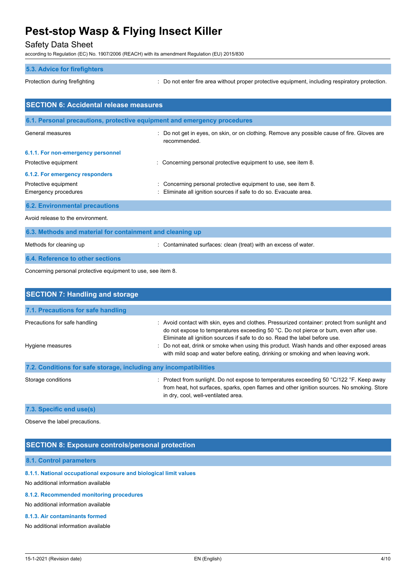## Safety Data Sheet

according to Regulation (EC) No. 1907/2006 (REACH) with its amendment Regulation (EU) 2015/830

|                                               | according to Regulation (EC) No. 1907/2006 (REACH) with its amendment Regulation (EU) 2015/830                                      |
|-----------------------------------------------|-------------------------------------------------------------------------------------------------------------------------------------|
| <b>5.3. Advice for firefighters</b>           |                                                                                                                                     |
| Protection during firefighting                | : Do not enter fire area without proper protective equipment, including respiratory protection.                                     |
| <b>SECTION 6: Accidental release measures</b> |                                                                                                                                     |
|                                               | 6.1. Personal precautions, protective equipment and emergency procedures                                                            |
| General measures                              | Do not get in eyes, on skin, or on clothing. Remove any possible cause of fire. Gloves are<br>recommended.                          |
| 6.1.1. For non-emergency personnel            |                                                                                                                                     |
| Protective equipment                          | : Concerning personal protective equipment to use, see item 8.                                                                      |
| 6.1.2. For emergency responders               |                                                                                                                                     |
| Protective equipment<br>Emergency procedures  | : Concerning personal protective equipment to use, see item 8.<br>: Eliminate all ignition sources if safe to do so. Evacuate area. |
| <b>6.2. Environmental precautions</b>         |                                                                                                                                     |
| Avoid release to the environment.             |                                                                                                                                     |

| 6.3. Methods and material for containment and cleaning up |                                                                 |  |  |
|-----------------------------------------------------------|-----------------------------------------------------------------|--|--|
| Methods for cleaning up                                   | : Contaminated surfaces: clean (treat) with an excess of water. |  |  |
| 6.4. Reference to other sections                          |                                                                 |  |  |

Concerning personal protective equipment to use, see item 8.

| <b>SECTION 7: Handling and storage</b>                            |                                                                                                                                                                                                                                                                                                                                                                                                                                                         |  |  |
|-------------------------------------------------------------------|---------------------------------------------------------------------------------------------------------------------------------------------------------------------------------------------------------------------------------------------------------------------------------------------------------------------------------------------------------------------------------------------------------------------------------------------------------|--|--|
| 7.1. Precautions for safe handling                                |                                                                                                                                                                                                                                                                                                                                                                                                                                                         |  |  |
| Precautions for safe handling<br>Hygiene measures                 | : Avoid contact with skin, eyes and clothes. Pressurized container: protect from sunlight and<br>do not expose to temperatures exceeding 50 °C. Do not pierce or burn, even after use.<br>Eliminate all ignition sources if safe to do so. Read the label before use.<br>: Do not eat, drink or smoke when using this product. Wash hands and other exposed areas<br>with mild soap and water before eating, drinking or smoking and when leaving work. |  |  |
| 7.2. Conditions for safe storage, including any incompatibilities |                                                                                                                                                                                                                                                                                                                                                                                                                                                         |  |  |
| Storage conditions                                                | : Protect from sunlight. Do not expose to temperatures exceeding 50 $\degree$ C/122 $\degree$ F. Keep away<br>from heat, hot surfaces, sparks, open flames and other ignition sources. No smoking. Store<br>in dry, cool, well-ventilated area.                                                                                                                                                                                                         |  |  |

**7.3. Specific end use(s)**

Observe the label precautions.

### **SECTION 8: Exposure controls/personal protection**

#### **8.1. Control parameters**

#### **8.1.1. National occupational exposure and biological limit values**

No additional information available

#### **8.1.2. Recommended monitoring procedures**

No additional information available

#### **8.1.3. Air contaminants formed**

No additional information available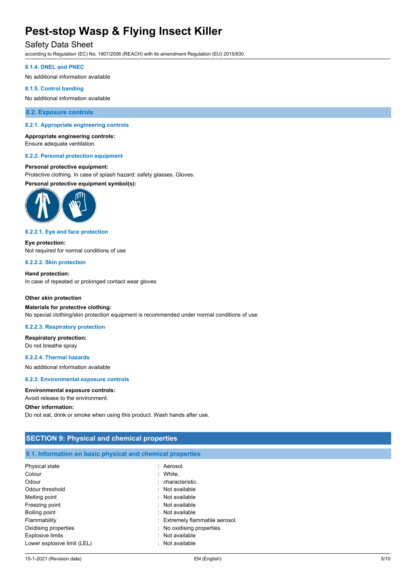### Safety Data Sheet

according to Regulation (EC) No. 1907/2006 (REACH) with its amendment Regulation (EU) 2015/830

#### **8.1.4. DNEL and PNEC**

No additional information available

#### **8.1.5. Control banding**

No additional information available

#### **8.2. Exposure controls**

#### **8.2.1. Appropriate engineering controls**

### **Appropriate engineering controls:**

Ensure adequate ventilation.

#### **8.2.2. Personal protection equipment**

#### **Personal protective equipment:**

Protective clothing. In case of splash hazard: safety glasses. Gloves.

**Personal protective equipment symbol(s):**



#### **8.2.2.1. Eye and face protection**

**Eye protection:** Not required for normal conditions of use

#### **8.2.2.2. Skin protection**

**Hand protection:** In case of repeated or prolonged contact wear gloves

#### **Other skin protection**

#### **Materials for protective clothing:** No special clothing/skin protection equipment is recommended under normal conditions of use

#### **8.2.2.3. Respiratory protection**

**Respiratory protection:** Do not breathe spray

#### **8.2.2.4. Thermal hazards**

No additional information available

#### **8.2.3. Environmental exposure controls**

#### **Environmental exposure controls:**

Avoid release to the environment.

#### **Other information:**

Do not eat, drink or smoke when using this product. Wash hands after use.

| <b>SECTION 9: Physical and chemical properties</b>         |                                |  |  |
|------------------------------------------------------------|--------------------------------|--|--|
| 9.1. Information on basic physical and chemical properties |                                |  |  |
| Physical state                                             | : Aerosol.                     |  |  |
| Colour                                                     | : White.                       |  |  |
| Odour                                                      | : characteristic.              |  |  |
| Odour threshold                                            | : Not available                |  |  |
| Melting point                                              | $:$ Not available              |  |  |
| Freezing point                                             | : Not available                |  |  |
| Boiling point                                              | : Not available                |  |  |
| Flammability                                               | : Extremely flammable aerosol. |  |  |
| Oxidising properties                                       | : No oxidising properties.     |  |  |
| <b>Explosive limits</b>                                    | : Not available                |  |  |
| Lower explosive limit (LEL)                                | : Not available                |  |  |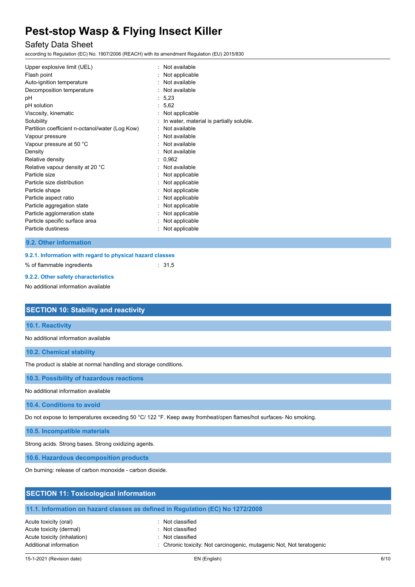## Safety Data Sheet

according to Regulation (EC) No. 1907/2006 (REACH) with its amendment Regulation (EU) 2015/830

#### **9.2. Other information**

| 9.2.1. Information with regard to physical hazard classes |  |                   |
|-----------------------------------------------------------|--|-------------------|
| % of flammable ingredients                                |  | $\therefore$ 31.5 |

#### **9.2.2. Other safety characteristics**

No additional information available

| <b>SECTION 10: Stability and reactivity</b>                                                                     |
|-----------------------------------------------------------------------------------------------------------------|
| 10.1. Reactivity                                                                                                |
| No additional information available                                                                             |
| <b>10.2. Chemical stability</b>                                                                                 |
| The product is stable at normal handling and storage conditions.                                                |
| 10.3. Possibility of hazardous reactions                                                                        |
| No additional information available                                                                             |
| 10.4. Conditions to avoid                                                                                       |
| Do not expose to temperatures exceeding 50 °C/ 122 °F. Keep away fromheat/open flames/hot surfaces- No smoking. |
| 10.5. Incompatible materials                                                                                    |
| Strong acids. Strong bases. Strong oxidizing agents.                                                            |
| 10.6. Hazardous decomposition products                                                                          |
| On burning: release of carbon monoxide - carbon dioxide.                                                        |

#### **SECTION 11: Toxicological information**

#### **11.1. Information on hazard classes as defined in Regulation (EC) No 1272/2008**

Acute toxicity (oral) **Example 2** Constant Acute toxicity (oral) Acute toxicity (dermal) **Example 2** Controller toxicity (dermal) Acute toxicity (inhalation) : Not classified

Additional information **information** : Chronic toxicity: Not carcinogenic, mutagenic Not, Not teratogenic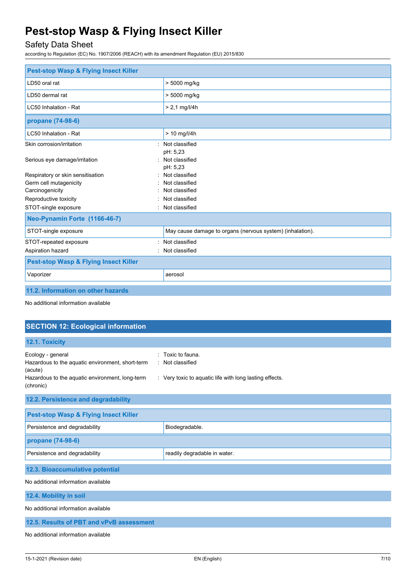## Safety Data Sheet

according to Regulation (EC) No. 1907/2006 (REACH) with its amendment Regulation (EU) 2015/830

| <b>Pest-stop Wasp &amp; Flying Insect Killer</b> |                                                           |  |  |  |
|--------------------------------------------------|-----------------------------------------------------------|--|--|--|
| LD50 oral rat                                    | > 5000 mg/kg                                              |  |  |  |
| LD50 dermal rat                                  | > 5000 mg/kg                                              |  |  |  |
| LC50 Inhalation - Rat                            | $> 2.1$ mg/l/4h                                           |  |  |  |
| propane (74-98-6)                                |                                                           |  |  |  |
| LC50 Inhalation - Rat                            | $> 10$ mg/l/4h                                            |  |  |  |
| Skin corrosion/irritation<br>۰.                  | Not classified<br>pH: 5,23                                |  |  |  |
| Serious eye damage/irritation                    | Not classified<br>pH: 5,23                                |  |  |  |
| Respiratory or skin sensitisation                | Not classified                                            |  |  |  |
| Germ cell mutagenicity                           | Not classified                                            |  |  |  |
| Carcinogenicity                                  | Not classified                                            |  |  |  |
| Reproductive toxicity                            | Not classified                                            |  |  |  |
| STOT-single exposure                             | Not classified                                            |  |  |  |
| Neo-Pynamin Forte (1166-46-7)                    |                                                           |  |  |  |
| STOT-single exposure                             | May cause damage to organs (nervous system) (inhalation). |  |  |  |
| STOT-repeated exposure                           | Not classified                                            |  |  |  |
| Aspiration hazard                                | Not classified                                            |  |  |  |
| <b>Pest-stop Wasp &amp; Flying Insect Killer</b> |                                                           |  |  |  |
| Vaporizer                                        | aerosol                                                   |  |  |  |
| 11.2. Information on other hazards               |                                                           |  |  |  |

No additional information available

| <b>SECTION 12: Ecological information</b>                                                                                                        |                                                                                                |  |  |  |
|--------------------------------------------------------------------------------------------------------------------------------------------------|------------------------------------------------------------------------------------------------|--|--|--|
| 12.1. Toxicity                                                                                                                                   |                                                                                                |  |  |  |
| Ecology - general<br>Hazardous to the aquatic environment, short-term<br>(acute)<br>Hazardous to the aquatic environment, long-term<br>(chronic) | Toxic to fauna.<br>: Not classified<br>: Very toxic to aquatic life with long lasting effects. |  |  |  |
| 12.2. Persistence and degradability                                                                                                              |                                                                                                |  |  |  |
| <b>Pest-stop Wasp &amp; Flying Insect Killer</b>                                                                                                 |                                                                                                |  |  |  |
| Persistence and degradability                                                                                                                    | Biodegradable.                                                                                 |  |  |  |
| propane (74-98-6)                                                                                                                                |                                                                                                |  |  |  |
| Persistence and degradability                                                                                                                    | readily degradable in water.                                                                   |  |  |  |
| 12.3. Bioaccumulative potential                                                                                                                  |                                                                                                |  |  |  |
| No additional information available                                                                                                              |                                                                                                |  |  |  |
| 12.4. Mobility in soil                                                                                                                           |                                                                                                |  |  |  |
| No additional information available                                                                                                              |                                                                                                |  |  |  |
| 12.5. Results of PBT and vPvB assessment                                                                                                         |                                                                                                |  |  |  |

No additional information available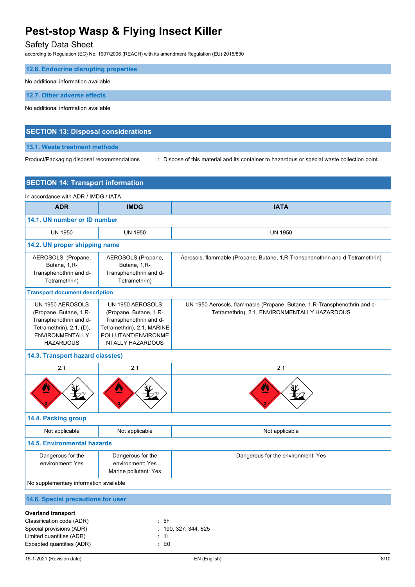## Safety Data Sheet

according to Regulation (EC) No. 1907/2006 (REACH) with its amendment Regulation (EU) 2015/830

| 12.6. Endocrine disrupting properties |
|---------------------------------------|
| No additional information available   |
| 12.7. Other adverse effects           |
| No additional information available   |

#### **SECTION 13: Disposal considerations**

#### **13.1. Waste treatment methods**

Product/Packaging disposal recommendations : Dispose of this material and its container to hazardous or special waste collection point.

| <b>SECTION 14: Transport information</b>                                                                                                             |                                                                                                                                                      |                                                                                                                            |  |  |
|------------------------------------------------------------------------------------------------------------------------------------------------------|------------------------------------------------------------------------------------------------------------------------------------------------------|----------------------------------------------------------------------------------------------------------------------------|--|--|
| In accordance with ADR / IMDG / IATA                                                                                                                 |                                                                                                                                                      |                                                                                                                            |  |  |
| <b>ADR</b>                                                                                                                                           | <b>IMDG</b>                                                                                                                                          | <b>IATA</b>                                                                                                                |  |  |
| 14.1. UN number or ID number                                                                                                                         |                                                                                                                                                      |                                                                                                                            |  |  |
| <b>UN 1950</b>                                                                                                                                       | <b>UN 1950</b>                                                                                                                                       | <b>UN 1950</b>                                                                                                             |  |  |
| 14.2. UN proper shipping name                                                                                                                        |                                                                                                                                                      |                                                                                                                            |  |  |
| AEROSOLS (Propane,<br>Butane, 1, R-<br>Transphenothrin and d-<br>Tetramethrin)                                                                       | AEROSOLS (Propane,<br>Butane, 1, R-<br>Transphenothrin and d-<br>Tetramethrin)                                                                       | Aerosols, flammable (Propane, Butane, 1, R-Transphenothrin and d-Tetramethrin)                                             |  |  |
| <b>Transport document description</b>                                                                                                                |                                                                                                                                                      |                                                                                                                            |  |  |
| UN 1950 AEROSOLS<br>(Propane, Butane, 1,R-<br>Transphenothrin and d-<br>Tetramethrin), $2.1$ , $(D)$ ,<br><b>ENVIRONMENTALLY</b><br><b>HAZARDOUS</b> | UN 1950 AEROSOLS<br>(Propane, Butane, 1,R-<br>Transphenothrin and d-<br>Tetramethrin), 2.1, MARINE<br>POLLUTANT/ENVIRONME<br><b>NTALLY HAZARDOUS</b> | UN 1950 Aerosols, flammable (Propane, Butane, 1, R-Transphenothrin and d-<br>Tetramethrin), 2.1, ENVIRONMENTALLY HAZARDOUS |  |  |
| 14.3. Transport hazard class(es)                                                                                                                     |                                                                                                                                                      |                                                                                                                            |  |  |
| 2.1                                                                                                                                                  | 2.1                                                                                                                                                  | 2.1                                                                                                                        |  |  |
| Ŋ                                                                                                                                                    |                                                                                                                                                      |                                                                                                                            |  |  |
| 14.4. Packing group                                                                                                                                  |                                                                                                                                                      |                                                                                                                            |  |  |
| Not applicable                                                                                                                                       | Not applicable                                                                                                                                       | Not applicable                                                                                                             |  |  |
| <b>14.5. Environmental hazards</b>                                                                                                                   |                                                                                                                                                      |                                                                                                                            |  |  |
| Dangerous for the<br>environment: Yes                                                                                                                | Dangerous for the<br>environment: Yes<br>Marine pollutant: Yes                                                                                       | Dangerous for the environment: Yes                                                                                         |  |  |
| No supplementary information available                                                                                                               |                                                                                                                                                      |                                                                                                                            |  |  |
| 14.6. Special precautions for user                                                                                                                   |                                                                                                                                                      |                                                                                                                            |  |  |
| <b>Overland transport</b>                                                                                                                            |                                                                                                                                                      |                                                                                                                            |  |  |
| Classification code (ADR)<br>Special provisions (ADR)                                                                                                | : 5F                                                                                                                                                 | 190, 327, 344, 625                                                                                                         |  |  |

Limited quantities (ADR) : 1l Excepted quantities (ADR) **:** E0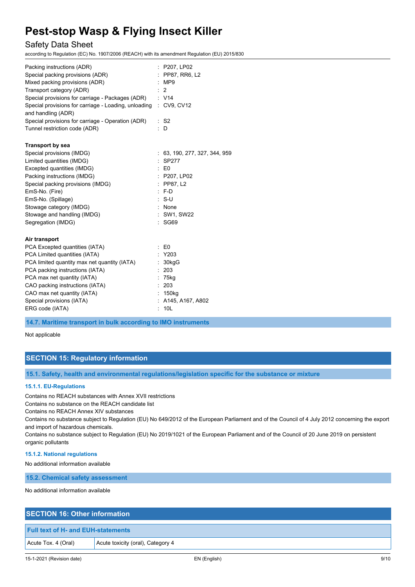### Safety Data Sheet

according to Regulation (EC) No. 1907/2006 (REACH) with its amendment Regulation (EU) 2015/830

| : P207, LP02<br>PP87, RR6, L2<br>:MP9<br>$\therefore$ 2<br>$\therefore$ V14<br>Special provisions for carriage - Packages (ADR)<br>Special provisions for carriage - Loading, unloading<br>$\therefore$ CV9, CV12<br>$:$ S <sub>2</sub><br>D |
|----------------------------------------------------------------------------------------------------------------------------------------------------------------------------------------------------------------------------------------------|
|                                                                                                                                                                                                                                              |
| : 63, 190, 277, 327, 344, 959<br>: SP277<br>$\mathbf{E}$ E0<br>: P207, LP02<br>$:$ PP87, L2<br>$: F-D$<br>$: S-U$<br>: None<br>: SW1, SW22<br>: SG69                                                                                         |
| $\therefore$ EO<br>$:$ Y203<br>: 30kgG<br>: 203<br>75kg<br>: 203<br>: 150kg<br>A145, A167, A802<br>10 <sub>L</sub>                                                                                                                           |
|                                                                                                                                                                                                                                              |

**14.7. Maritime transport in bulk according to IMO instruments**

Not applicable

### **SECTION 15: Regulatory information**

**15.1. Safety, health and environmental regulations/legislation specific for the substance or mixture**

#### **15.1.1. EU-Regulations**

Contains no REACH substances with Annex XVII restrictions

Contains no substance on the REACH candidate list

Contains no REACH Annex XIV substances

Contains no substance subject to Regulation (EU) No 649/2012 of the European Parliament and of the Council of 4 July 2012 concerning the export and import of hazardous chemicals.

Contains no substance subject to Regulation (EU) No 2019/1021 of the European Parliament and of the Council of 20 June 2019 on persistent organic pollutants

#### **15.1.2. National regulations**

No additional information available

**15.2. Chemical safety assessment**

No additional information available

### **SECTION 16: Other information**

#### **Full text of H- and EUH-statements**

Acute Tox. 4 (Oral) | Acute toxicity (oral), Category 4